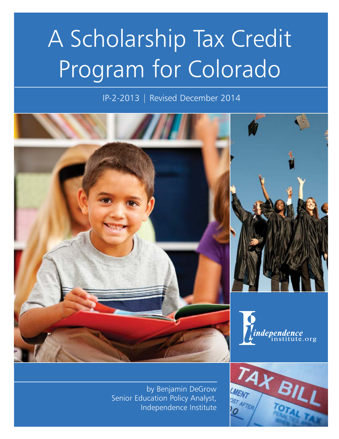# A Scholarship Tax Credit Program for Colorado

IP-2-2013 | Revised December 2014



by Benjamin DeGrow Senior Education Policy Analyst, Independence Institute

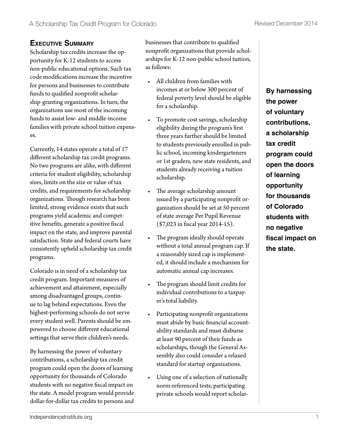# **Executive Summary**

Scholarship tax credits increase the opportunity for K-12 students to access non-public educational options. Such tax code modifications increase the incentive for persons and businesses to contribute funds to qualified nonprofit scholarship-granting organizations. In turn, the organizations use most of the incoming funds to assist low- and middle-income families with private school tuition expenses.

Currently, 14 states operate a total of 17 different scholarship tax credit programs. No two programs are alike, with different criteria for student eligibility, scholarship sizes, limits on the size or value of tax credits, and requirements for scholarship organizations. Though research has been limited, strong evidence exists that such programs yield academic and competitive benefits, generate a positive fiscal impact on the state, and improve parental satisfaction. State and federal courts have consistently upheld scholarship tax credit programs.

Colorado is in need of a scholarship tax credit program. Important measures of achievement and attainment, especially among disadvantaged groups, continue to lag behind expectations. Even the highest-performing schools do not serve every student well. Parents should be empowered to choose different educational settings that serve their children's needs.

By harnessing the power of voluntary contributions, a scholarship tax credit program could open the doors of learning opportunity for thousands of Colorado students with no negative fiscal impact on the state. A model program would provide dollar-for-dollar tax credits to persons and businesses that contribute to qualified nonprofit organizations that provide scholarships for K-12 non-public school tuition, as follows:

- All children from families with incomes at or below 300 percent of federal poverty level should be eligible for a scholarship.
- To promote cost savings, scholarship eligibility during the program's first three years further should be limited to students previously enrolled in public school, incoming kindergarteners or 1st graders, new state residents, and students already receiving a tuition scholarship.
- The average scholarship amount issued by a participating nonprofit organization should be set at 50 percent of state average Per Pupil Revenue (\$7,023 in fiscal year 2014-15).
- The program ideally should operate without a total annual program cap. If a reasonably sized cap is implemented, it should include a mechanism for automatic annual cap increases.
- The program should limit credits for individual contributions to a taxpayer's total liability.
- Participating nonprofit organizations must abide by basic financial accountability standards and must disburse at least 90 percent of their funds as scholarships, though the General Assembly also could consider a relaxed standard for startup organizations.
- Using one of a selection of nationally norm-referenced tests, participating private schools would report scholar-

**By harnessing the power of voluntary contributions, a scholarship tax credit program could open the doors of learning opportunity for thousands of Colorado students with no negative fiscal impact on the state.**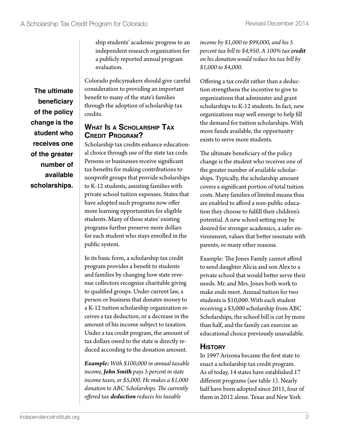**The ultimate beneficiary of the policy change is the student who receives one of the greater number of available scholarships.**  ship students' academic progress to an independent research organization for a publicly reported annual program evaluation.

Colorado policymakers should give careful consideration to providing an important benefit to many of the state's families through the adoption of scholarship tax credits.

## **What Is a Scholarship Tax Credit Program?**

Scholarship tax credits enhance educational choice through use of the state tax code. Persons or businesses receive significant tax benefits for making contributions to nonprofit groups that provide scholarships to K-12 students, assisting families with private school tuition expenses. States that have adopted such programs now offer more learning opportunities for eligible students. Many of these states' existing programs further preserve more dollars for each student who stays enrolled in the public system.

In its basic form, a scholarship tax credit program provides a benefit to students and families by changing how state revenue collectors recognize charitable giving to qualified groups. Under current law, a person or business that donates money to a K-12 tuition scholarship organization receives a tax deduction, or a decrease in the amount of his income subject to taxation. Under a tax credit program, the amount of tax dollars owed to the state is directly reduced according to the donation amount.

*Example: With \$100,000 in annual taxable income, John Smith pays 5 percent in state income taxes, or \$5,000. He makes a \$1,000 donation to ABC Scholarships. The currently offered tax deduction reduces his taxable* 

*income by \$1,000 to \$99,000, and his 5 percent tax bill to \$4,950. A 100% tax credit on his donation would reduce his tax bill by \$1,000 to \$4,000.*

Offering a tax credit rather than a deduction strengthens the incentive to give to organizations that administer and grant scholarships to K-12 students. In fact, new organizations may well emerge to help fill the demand for tuition scholarships. With more funds available, the opportunity exists to serve more students.

The ultimate beneficiary of the policy change is the student who receives one of the greater number of available scholarships. Typically, the scholarship amount covers a significant portion of total tuition costs. Many families of limited means thus are enabled to afford a non-public education they choose to fulfill their children's potential. A new school setting may be desired for stronger academics, a safer environment, values that better resonate with parents, or many other reasons.

Example: The Jones Family cannot afford to send daughter Alicia and son Alex to a private school that would better serve their needs. Mr. and Mrs. Jones both work to make ends meet. Annual tuition for two students is \$10,000. With each student receiving a \$3,000 scholarship from ABC Scholarships, the school bill is cut by more than half, and the family can exercise an educational choice previously unavailable.

#### **History**

In 1997 Arizona became the first state to enact a scholarship tax credit program. As of today, 14 states have established 17 different programs (see table 1). Nearly half have been adopted since 2011, four of them in 2012 alone. Texas and New York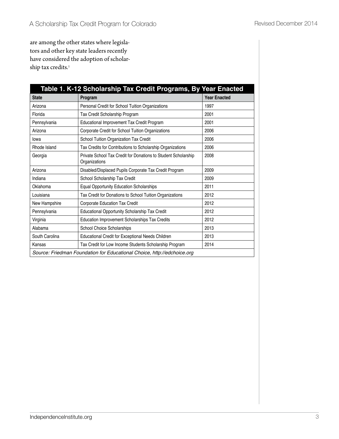are among the other states where legislators and other key state leaders recently have considered the adoption of scholarship tax credits.<sup>1</sup>

| Table 1. K-12 Scholarship Tax Credit Programs, By Year Enacted          |                                                                                 |                     |  |  |  |  |  |  |
|-------------------------------------------------------------------------|---------------------------------------------------------------------------------|---------------------|--|--|--|--|--|--|
| <b>State</b>                                                            | Program                                                                         | <b>Year Enacted</b> |  |  |  |  |  |  |
| Arizona                                                                 | Personal Credit for School Tuition Organizations                                | 1997                |  |  |  |  |  |  |
| Florida                                                                 | Tax Credit Scholarship Program                                                  | 2001                |  |  |  |  |  |  |
| Pennsylvania                                                            | Educational Improvement Tax Credit Program                                      | 2001                |  |  |  |  |  |  |
| Arizona                                                                 | Corporate Credit for School Tuition Organizations                               | 2006                |  |  |  |  |  |  |
| lowa                                                                    | School Tuition Organization Tax Credit                                          | 2006                |  |  |  |  |  |  |
| Rhode Island                                                            | Tax Credits for Contributions to Scholarship Organizations                      | 2006                |  |  |  |  |  |  |
| Georgia                                                                 | Private School Tax Credit for Donations to Student Scholarship<br>Organizations | 2008                |  |  |  |  |  |  |
| Arizona                                                                 | Disabled/Displaced Pupils Corporate Tax Credit Program                          | 2009                |  |  |  |  |  |  |
| Indiana                                                                 | School Scholarship Tax Credit                                                   | 2009                |  |  |  |  |  |  |
| Oklahoma                                                                | <b>Equal Opportunity Education Scholarships</b>                                 | 2011                |  |  |  |  |  |  |
| Louisiana                                                               | Tax Credit for Donations to School Tuition Organizations                        | 2012                |  |  |  |  |  |  |
| New Hampshire                                                           | Corporate Education Tax Credit                                                  | 2012                |  |  |  |  |  |  |
| Pennsylvania                                                            | <b>Educational Opportunity Scholarship Tax Credit</b>                           | 2012                |  |  |  |  |  |  |
| Virginia                                                                | Education Improvement Scholarships Tax Credits                                  | 2012                |  |  |  |  |  |  |
| Alabama                                                                 | <b>School Choice Scholarships</b>                                               | 2013                |  |  |  |  |  |  |
| South Carolina                                                          | Educational Credit for Exceptional Needs Children                               | 2013                |  |  |  |  |  |  |
| Kansas                                                                  | Tax Credit for Low Income Students Scholarship Program                          | 2014                |  |  |  |  |  |  |
| Source: Friedman Foundation for Educational Choice, http://edchoice.org |                                                                                 |                     |  |  |  |  |  |  |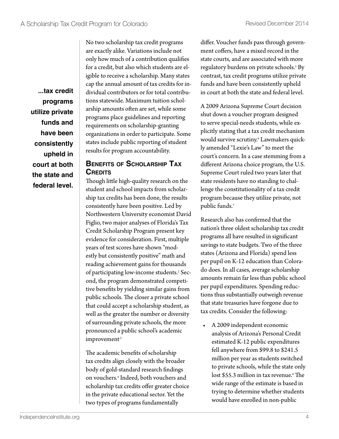**...tax credit programs utilize private funds and have been consistently upheld in court at both the state and federal level.** 

No two scholarship tax credit programs are exactly alike. Variations include not only how much of a contribution qualifies for a credit, but also which students are eligible to receive a scholarship. Many states cap the annual amount of tax credits for individual contributors or for total contributions statewide. Maximum tuition scholarship amounts often are set, while some programs place guidelines and reporting requirements on scholarship-granting organizations in order to participate. Some states include public reporting of student results for program accountability.

## **Benefits of Scholarship Tax Credits**

Though little high-quality research on the student and school impacts from scholarship tax credits has been done, the results consistently have been positive. Led by Northwestern University economist David Figlio, two major analyses of Florida's Tax Credit Scholarship Program present key evidence for consideration. First, multiple years of test scores have shown "modestly but consistently positive" math and reading achievement gains for thousands of participating low-income students.2 Second, the program demonstrated competitive benefits by yielding similar gains from public schools. The closer a private school that could accept a scholarship student, as well as the greater the number or diversity of surrounding private schools, the more pronounced a public school's academic improvement<sup>3</sup>

The academic benefits of scholarship tax credits align closely with the broader body of gold-standard research findings on vouchers.4 Indeed, both vouchers and scholarship tax credits offer greater choice in the private educational sector. Yet the two types of programs fundamentally

differ. Voucher funds pass through government coffers, have a mixed record in the state courts, and are associated with more regulatory burdens on private schools.5 By contrast, tax credit programs utilize private funds and have been consistently upheld in court at both the state and federal level.

A 2009 Arizona Supreme Court decision shut down a voucher program designed to serve special-needs students, while explicitly stating that a tax credit mechanism would survive scrutiny.6 Lawmakers quickly amended "Lexie's Law" to meet the court's concern. In a case stemming from a different Arizona choice program, the U.S. Supreme Court ruled two years later that state residents have no standing to challenge the constitutionality of a tax credit program because they utilize private, not public funds.7

Research also has confirmed that the nation's three oldest scholarship tax credit programs all have resulted in significant savings to state budgets. Two of the three states (Arizona and Florida) spend less per pupil on K-12 education than Colorado does. In all cases, average scholarship amounts remain far less than public school per pupil expenditures. Spending reductions thus substantially outweigh revenue that state treasuries have forgone due to tax credits. Consider the following:

• A 2009 independent economic analysis of Arizona's Personal Credit estimated K-12 public expenditures fell anywhere from \$99.8 to \$241.5 million per year as students switched to private schools, while the state only lost \$55.3 million in tax revenue.8 The wide range of the estimate is based in trying to determine whether students would have enrolled in non-public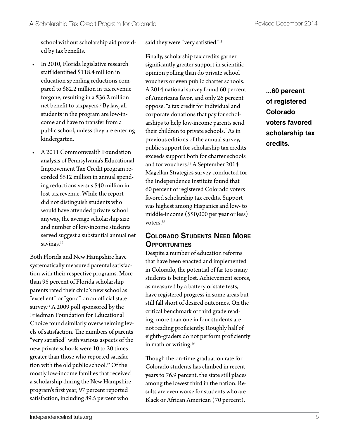school without scholarship aid provided by tax benefits.

- In 2010, Florida legislative research staff identified \$118.4 million in education spending reductions compared to \$82.2 million in tax revenue forgone, resulting in a \$36.2 million net benefit to taxpayers.9 By law, all students in the program are low-income and have to transfer from a public school, unless they are entering kindergarten.
- A 2011 Commonwealth Foundation analysis of Pennsylvania's Educational Improvement Tax Credit program recorded \$512 million in annual spending reductions versus \$40 million in lost tax revenue. While the report did not distinguish students who would have attended private school anyway, the average scholarship size and number of low-income students served suggest a substantial annual net savings.<sup>10</sup>

Both Florida and New Hampshire have systematically measured parental satisfaction with their respective programs. More than 95 percent of Florida scholarship parents rated their child's new school as "excellent" or "good" on an official state survey.<sup>11</sup> A 2009 poll sponsored by the Friedman Foundation for Educational Choice found similarly overwhelming levels of satisfaction. The numbers of parents "very satisfied" with various aspects of the new private schools were 10 to 20 times greater than those who reported satisfaction with the old public school.12 Of the mostly low-income families that received a scholarship during the New Hampshire program's first year, 97 percent reported satisfaction, including 89.5 percent who

said they were "very satisfied."<sup>13</sup>

Finally, scholarship tax credits garner significantly greater support in scientific opinion polling than do private school vouchers or even public charter schools. A 2014 national survey found 60 percent of Americans favor, and only 26 percent oppose, "a tax credit for individual and corporate donations that pay for scholarships to help low-income parents send their children to private schools." As in previous editions of the annual survey, public support for scholarship tax credits exceeds support both for charter schools and for vouchers.<sup>14</sup> A September 2014 Magellan Strategies survey conducted for the Independence Institute found that 60 percent of registered Colorado voters favored scholarship tax credits. Support was highest among Hispanics and low- to middle-income (\$50,000 per year or less) voters.<sup>15</sup>

#### **Colorado Students Need More Opportunities**

Despite a number of education reforms that have been enacted and implemented in Colorado, the potential of far too many students is being lost. Achievement scores, as measured by a battery of state tests, have registered progress in some areas but still fall short of desired outcomes. On the critical benchmark of third grade reading, more than one in four students are not reading proficiently. Roughly half of eighth-graders do not perform proficiently in math or writing.<sup>16</sup>

Though the on-time graduation rate for Colorado students has climbed in recent years to 76.9 percent, the state still places among the lowest third in the nation. Results are even worse for students who are Black or African American (70 percent),

**...60 percent of registered Colorado voters favored scholarship tax credits.**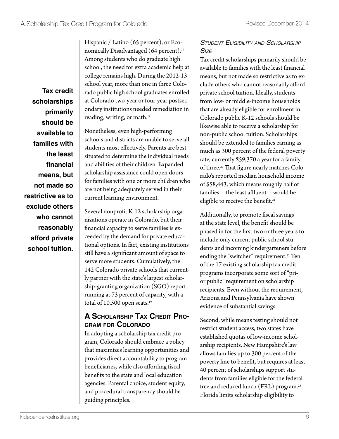**Tax credit scholarships primarily should be available to families with the least financial means, but not made so restrictive as to exclude others who cannot reasonably afford private school tuition.**

Hispanic / Latino (65 percent), or Economically Disadvantaged (64 percent).<sup>17</sup> Among students who do graduate high school, the need for extra academic help at college remains high. During the 2012-13 school year, more than one in three Colorado public high school graduates enrolled at Colorado two-year or four-year postsecondary institutions needed remediation in reading, writing, or math.<sup>18</sup>

Nonetheless, even high-performing schools and districts are unable to serve all students most effectively. Parents are best situated to determine the individual needs and abilities of their children. Expanded scholarship assistance could open doors for families with one or more children who are not being adequately served in their current learning environment.

Several nonprofit K-12 scholarship organizations operate in Colorado, but their financial capacity to serve families is exceeded by the demand for private educational options. In fact, existing institutions still have a significant amount of space to serve more students. Cumulatively, the 142 Colorado private schools that currently partner with the state's largest scholarship-granting organization (SGO) report running at 73 percent of capacity, with a total of 10,500 open seats.<sup>19</sup>

# **A Scholarship Tax Credit Program for Colorado**

In adopting a scholarship tax credit program, Colorado should embrace a policy that maximizes learning opportunities and provides direct accountability to program beneficiaries, while also affording fiscal benefits to the state and local education agencies. Parental choice, student equity, and procedural transparency should be guiding principles.

#### *Student Eligibility and Scholarship Size*

Tax credit scholarships primarily should be available to families with the least financial means, but not made so restrictive as to exclude others who cannot reasonably afford private school tuition. Ideally, students from low- or middle-income households that are already eligible for enrollment in Colorado public K-12 schools should be likewise able to receive a scholarship for non-public school tuition. Scholarships should be extended to families earning as much as 300 percent of the federal poverty rate, currently \$59,370 a year for a family of three.20 That figure nearly matches Colorado's reported median household income of \$58,443, which means roughly half of families—the least affluent—would be eligible to receive the benefit.<sup>21</sup>

Additionally, to promote fiscal savings at the state level, the benefit should be phased in for the first two or three years to include only current public school students and incoming kindergarteners before ending the "switcher" requirement.<sup>22</sup> Ten of the 17 existing scholarship tax credit programs incorporate some sort of "prior public" requirement on scholarship recipients. Even without the requirement, Arizona and Pennsylvania have shown evidence of substantial savings.

Second, while means testing should not restrict student access, two states have established quotas of low-income scholarship recipients. New Hampshire's law allows families up to 300 percent of the poverty line to benefit, but requires at least 40 percent of scholarships support students from families eligible for the federal free and reduced lunch (FRL) program.23 Florida limits scholarship eligibility to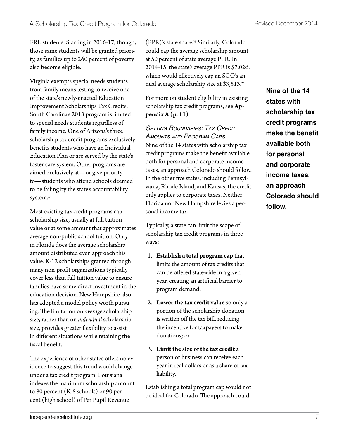FRL students. Starting in 2016-17, though, those same students will be granted priority, as families up to 260 percent of poverty also become eligible.

Virginia exempts special needs students from family means testing to receive one of the state's newly-enacted Education Improvement Scholarships Tax Credits. South Carolina's 2013 program is limited to special needs students regardless of family income. One of Arizona's three scholarship tax credit programs exclusively benefits students who have an Individual Education Plan or are served by the state's foster care system. Other programs are aimed exclusively at—or give priority to—students who attend schools deemed to be failing by the state's accountability system.<sup>24</sup>

Most existing tax credit programs cap scholarship size, usually at full tuition value or at some amount that approximates average non-public school tuition. Only in Florida does the average scholarship amount distributed even approach this value. K-12 scholarships granted through many non-profit organizations typically cover less than full tuition value to ensure families have some direct investment in the education decision. New Hampshire also has adopted a model policy worth pursuing. The limitation on *average* scholarship size, rather than on *individual* scholarship size, provides greater flexibility to assist in different situations while retaining the fiscal benefit.

The experience of other states offers no evidence to suggest this trend would change under a tax credit program. Louisiana indexes the maximum scholarship amount to 80 percent (K-8 schools) or 90 percent (high school) of Per Pupil Revenue

(PPR)'s state share.25 Similarly, Colorado could cap the average scholarship amount at 50 percent of state average PPR. In 2014-15, the state's average PPR is \$7,026, which would effectively cap an SGO's annual average scholarship size at \$3,513.26

For more on student eligibility in existing scholarship tax credit programs, see **[Ap](#page-13-0)[pendix A \(p. 11\)](#page-13-0)**.

*Setting Boundaries: Tax Credit Amounts and Program Caps* Nine of the 14 states with scholarship tax credit programs make the benefit available both for personal and corporate income taxes, an approach Colorado should follow. In the other five states, including Pennsylvania, Rhode Island, and Kansas, the credit only applies to corporate taxes. Neither Florida nor New Hampshire levies a personal income tax.

Typically, a state can limit the scope of scholarship tax credit programs in three ways:

- 1. **Establish a total program cap** that limits the amount of tax credits that can be offered statewide in a given year, creating an artificial barrier to program demand;
- 2. **Lower the tax credit value** so only a portion of the scholarship donation is written off the tax bill, reducing the incentive for taxpayers to make donations; or
- 3. **Limit the size of the tax credit** a person or business can receive each year in real dollars or as a share of tax liability.

Establishing a total program cap would not be ideal for Colorado. The approach could

**Nine of the 14 states with scholarship tax credit programs make the benefit available both for personal and corporate income taxes, an approach Colorado should follow.**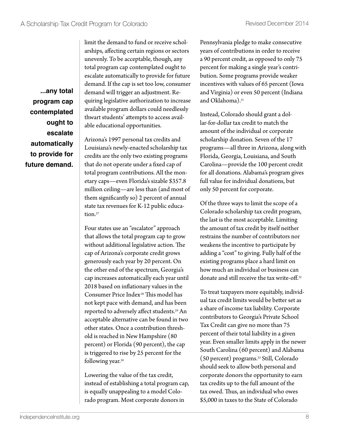**...any total program cap contemplated ought to escalate automatically to provide for future demand.** limit the demand to fund or receive scholarships, affecting certain regions or sectors unevenly. To be acceptable, though, any total program cap contemplated ought to escalate automatically to provide for future demand. If the cap is set too low, consumer demand will trigger an adjustment. Requiring legislative authorization to increase available program dollars could needlessly thwart students' attempts to access available educational opportunities.

Arizona's 1997 personal tax credits and Louisiana's newly-enacted scholarship tax credits are the only two existing programs that do not operate under a fixed cap of total program contributions. All the monetary caps—even Florida's sizable \$357.8 million ceiling—are less than (and most of them significantly so) 2 percent of annual state tax revenues for K-12 public education.<sup>27</sup>

Four states use an "escalator" approach that allows the total program cap to grow without additional legislative action. The cap of Arizona's corporate credit grows generously each year by 20 percent. On the other end of the spectrum, Georgia's cap increases automatically each year until 2018 based on inflationary values in the Consumer Price Index<sup>28</sup> This model has not kept pace with demand, and has been reported to adversely affect students.<sup>29</sup> An acceptable alternative can be found in two other states. Once a contribution threshold is reached in New Hampshire (80 percent) or Florida (90 percent), the cap is triggered to rise by 25 percent for the following year.30

Lowering the value of the tax credit, instead of establishing a total program cap, is equally unappealing to a model Colorado program. Most corporate donors in

Pennsylvania pledge to make consecutive years of contributions in order to receive a 90 percent credit, as opposed to only 75 percent for making a single year's contribution. Some programs provide weaker incentives with values of 65 percent (Iowa and Virginia) or even 50 percent (Indiana and Oklahoma).<sup>31</sup>

Instead, Colorado should grant a dollar-for-dollar tax credit to match the amount of the individual or corporate scholarship donation. Seven of the 17 programs—all three in Arizona, along with Florida, Georgia, Louisiana, and South Carolina—provide the 100 percent credit for all donations. Alabama's program gives full value for individual donations, but only 50 percent for corporate.

Of the three ways to limit the scope of a Colorado scholarship tax credit program, the last is the most acceptable. Limiting the amount of tax credit by itself neither restrains the number of contributors nor weakens the incentive to participate by adding a "cost" to giving. Fully half of the existing programs place a hard limit on how much an individual or business can donate and still receive the tax write-off.32

To treat taxpayers more equitably, individual tax credit limits would be better set as a share of income tax liability. Corporate contributors to Georgia's Private School Tax Credit can give no more than 75 percent of their total liability in a given year. Even smaller limits apply in the newer South Carolina (60 percent) and Alabama (50 percent) programs.33 Still, Colorado should seek to allow both personal and corporate donors the opportunity to earn tax credits up to the full amount of the tax owed. Thus, an individual who owes \$5,000 in taxes to the State of Colorado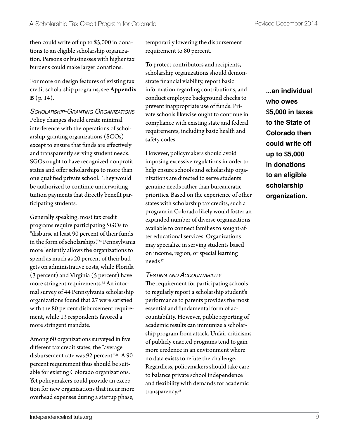then could write off up to \$5,000 in donations to an eligible scholarship organization. Persons or businesses with higher tax burdens could make larger donations.

For more on design features of existing tax credit scholarship programs, see **[Appendix](#page-15-0)  B** [\(p. 14\)](#page-15-0).

*Scholarship-Granting Organizations* Policy changes should create minimal interference with the operations of scholarship-granting organizations (SGOs) except to ensure that funds are effectively and transparently serving student needs. SGOs ought to have recognized nonprofit status and offer scholarships to more than one qualified private school. They would be authorized to continue underwriting tuition payments that directly benefit participating students.

Generally speaking, most tax credit programs require participating SGOs to "disburse at least 90 percent of their funds in the form of scholarships."34 Pennsylvania more leniently allows the organizations to spend as much as 20 percent of their budgets on administrative costs, while Florida (3 percent) and Virginia (5 percent) have more stringent requirements.<sup>35</sup> An informal survey of 44 Pennsylvania scholarship organizations found that 27 were satisfied with the 80 percent disbursement requirement, while 13 respondents favored a more stringent mandate.

Among 60 organizations surveyed in five different tax credit states, the "average disbursement rate was 92 percent."36 A 90 percent requirement thus should be suitable for existing Colorado organizations. Yet policymakers could provide an exception for new organizations that incur more overhead expenses during a startup phase,

temporarily lowering the disbursement requirement to 80 percent.

To protect contributors and recipients, scholarship organizations should demonstrate financial viability, report basic information regarding contributions, and conduct employee background checks to prevent inappropriate use of funds. Private schools likewise ought to continue in compliance with existing state and federal requirements, including basic health and safety codes.

However, policymakers should avoid imposing excessive regulations in order to help ensure schools and scholarship organizations are directed to serve students' genuine needs rather than bureaucratic priorities. Based on the experience of other states with scholarship tax credits, such a program in Colorado likely would foster an expanded number of diverse organizations available to connect families to sought-after educational services. Organizations may specialize in serving students based on income, region, or special learning needs.37

#### *Testing and Accountability*

The requirement for participating schools to regularly report a scholarship student's performance to parents provides the most essential and fundamental form of accountability. However, public reporting of academic results can immunize a scholarship program from attack. Unfair criticisms of publicly enacted programs tend to gain more credence in an environment where no data exists to refute the challenge. Regardless, policymakers should take care to balance private school independence and flexibility with demands for academic transparency.<sup>38</sup>

**...an individual who owes \$5,000 in taxes to the State of Colorado then could write off up to \$5,000 in donations to an eligible scholarship organization.**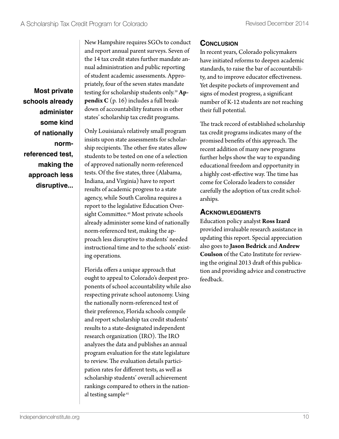**Most private schools already administer some kind of nationally normreferenced test, making the approach less disruptive...** 

New Hampshire requires SGOs to conduct and report annual parent surveys. Seven of the 14 tax credit states further mandate annual administration and public reporting of student academic assessments. Appropriately, four of the seven states mandate testing for scholarship students only.39 **[Ap](#page-16-0)[pendix C](#page-16-0)** (p. 16) includes a full breakdown of accountability features in other states' scholarship tax credit programs.

Only Louisiana's relatively small program insists upon state assessments for scholarship recipients. The other five states allow students to be tested on one of a selection of approved nationally norm-referenced tests. Of the five states, three (Alabama, Indiana, and Virginia) have to report results of academic progress to a state agency, while South Carolina requires a report to the legislative Education Oversight Committee.<sup>40</sup> Most private schools already administer some kind of nationally norm-referenced test, making the approach less disruptive to students' needed instructional time and to the schools' existing operations.

Florida offers a unique approach that ought to appeal to Colorado's deepest proponents of school accountability while also respecting private school autonomy. Using the nationally norm-referenced test of their preference, Florida schools compile and report scholarship tax credit students' results to a state-designated independent research organization (IRO). The IRO analyzes the data and publishes an annual program evaluation for the state legislature to review. The evaluation details participation rates for different tests, as well as scholarship students' overall achievement rankings compared to others in the national testing sample<sup>41</sup>

## **Conclusion**

In recent years, Colorado policymakers have initiated reforms to deepen academic standards, to raise the bar of accountability, and to improve educator effectiveness. Yet despite pockets of improvement and signs of modest progress, a significant number of K-12 students are not reaching their full potential.

The track record of established scholarship tax credit programs indicates many of the promised benefits of this approach. The recent addition of many new programs further helps show the way to expanding educational freedom and opportunity in a highly cost-effective way. The time has come for Colorado leaders to consider carefully the adoption of tax credit scholarships.

#### **Acknowledgments**

Education policy analyst **Ross Izard** provided invaluable research assistance in updating this report. Special appreciation also goes to **Jason Bedrick** and **Andrew Coulson** of the Cato Institute for reviewing the original 2013 draft of this publication and providing advice and constructive feedback.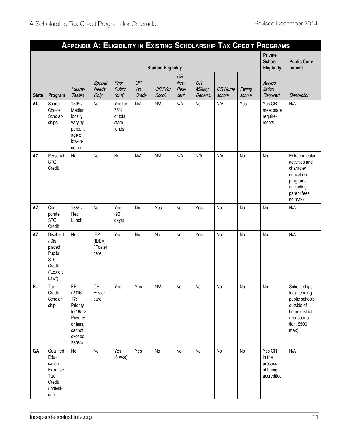|              | APPENDIX A: ELIGIBILITY IN EXISTING SCHOLARSHIP TAX CREDIT PROGRAMS                         |                                                                                                           |                                          |                                              |                           |                            |                            |                                  |                   |                   |                                                       |                                                                                                                       |
|--------------|---------------------------------------------------------------------------------------------|-----------------------------------------------------------------------------------------------------------|------------------------------------------|----------------------------------------------|---------------------------|----------------------------|----------------------------|----------------------------------|-------------------|-------------------|-------------------------------------------------------|-----------------------------------------------------------------------------------------------------------------------|
|              |                                                                                             |                                                                                                           |                                          |                                              |                           | <b>Student Eligibility</b> |                            |                                  |                   |                   | Private<br><b>School</b><br>Eligibility               | <b>Public Com-</b><br>ponent                                                                                          |
| <b>State</b> | Program                                                                                     | Means-<br><b>Tested</b>                                                                                   | Special<br><b>Needs</b><br>Only          | Prior<br>Public<br>(or K)                    | <b>OR</b><br>1st<br>Grade | <b>OR Prior</b><br>Schol.  | OR<br>New<br>Resi-<br>dent | <b>OR</b><br>Military<br>Depend. | OR Home<br>school | Failing<br>school | Accred-<br>itation<br>Required                        | Description                                                                                                           |
| <b>AL</b>    | School<br>Choice<br>Scholar-<br>ships                                                       | 150%<br>Median,<br>locally<br>varying<br>percent-<br>age of<br>low-in-<br>come                            | No                                       | Yes for<br>75%<br>of total<br>state<br>funds | N/A                       | N/A                        | N/A                        | No                               | N/A               | Yes               | Yes OR<br>meet state<br>require-<br>ments             | N/A                                                                                                                   |
| <b>AZ</b>    | Personal<br><b>STO</b><br>Credit                                                            | No                                                                                                        | No                                       | No                                           | N/A                       | N/A                        | N/A                        | N/A                              | N/A               | N <sub>o</sub>    | No                                                    | Extracurricular<br>activities and<br>character<br>education<br>programs<br>(including<br>parent fees,<br>no max)      |
| <b>AZ</b>    | Cor-<br>porate<br><b>STO</b><br>Credit                                                      | 185%<br>Red.<br>Lunch                                                                                     | No                                       | Yes<br>(90)<br>days)                         | <b>No</b>                 | Yes                        | No                         | Yes                              | <b>No</b>         | No                | No                                                    | N/A                                                                                                                   |
| <b>AZ</b>    | <b>Disabled</b><br>/ Dis-<br>placed<br>Pupils<br><b>STO</b><br>Credit<br>("Lexie's<br>Law") | No                                                                                                        | <b>IEP</b><br>(IDEA)<br>/ Foster<br>care | Yes                                          | No                        | No                         | No                         | Yes                              | <b>No</b>         | N <sub>o</sub>    | No                                                    | N/A                                                                                                                   |
| <b>FL</b>    | Tax<br>Credit<br>Scholar-<br>ship                                                           | <b>FRL</b><br>$(2016 -$<br>17:<br>Priority<br>to 185%<br>Poverty<br>or less,<br>cannot<br>exceed<br>260%) | <b>OR</b><br>Foster<br>care              | Yes                                          | Yes                       | N/A                        | No                         | No                               | No                | No                | No                                                    | Scholarships<br>for attending<br>public schools<br>outside of<br>home district<br>(transporta-<br>tion, \$500<br>max) |
| GA           | Qualified<br>Edu-<br>cation<br>Expense<br>Tax<br>Credit<br>(Individ-<br>ual)                | No                                                                                                        | No                                       | Yes<br>$(6$ wks $)$                          | Yes                       | No                         | No                         | No                               | No                | No                | Yes OR<br>in the<br>process<br>of being<br>accredited | N/A                                                                                                                   |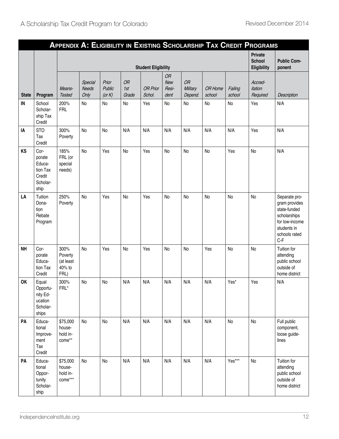|              |                                                                    |                                                |                                 |                                 |                           |                           |                                   |                                  |                   |                   | APPENDIX A: ELIGIBILITY IN EXISTING SCHOLARSHIP TAX CREDIT PROGRAMS |                                                                                                                         |
|--------------|--------------------------------------------------------------------|------------------------------------------------|---------------------------------|---------------------------------|---------------------------|---------------------------|-----------------------------------|----------------------------------|-------------------|-------------------|---------------------------------------------------------------------|-------------------------------------------------------------------------------------------------------------------------|
|              |                                                                    | <b>Student Eligibility</b>                     |                                 |                                 |                           |                           |                                   |                                  |                   |                   | Private<br><b>School</b><br>Eligibility                             | <b>Public Com-</b><br>ponent                                                                                            |
| <b>State</b> | Program                                                            | Means-<br><b>Tested</b>                        | Special<br><b>Needs</b><br>Only | Prior<br>Public<br>$($ or K $)$ | <b>OR</b><br>1st<br>Grade | <b>OR Prior</b><br>Schol. | <b>OR</b><br>New<br>Resi-<br>dent | <b>OR</b><br>Military<br>Depend. | OR Home<br>school | Failing<br>school | Accred-<br>itation<br>Required                                      | Description                                                                                                             |
| $\sf IN$     | School<br>Scholar-<br>ship Tax<br>Credit                           | 200%<br><b>FRL</b>                             | <b>No</b>                       | No                              | No                        | Yes                       | No                                | No                               | <b>No</b>         | No                | Yes                                                                 | N/A                                                                                                                     |
| IA           | <b>STO</b><br>Tax<br>Credit                                        | 300%<br>Poverty                                | No                              | No                              | N/A                       | N/A                       | N/A                               | N/A                              | N/A               | N/A               | Yes                                                                 | N/A                                                                                                                     |
| KS           | Cor-<br>porate<br>Educa-<br>tion Tax<br>Credit<br>Scholar-<br>ship | 185%<br>FRL (or<br>special<br>needs)           | <b>No</b>                       | Yes                             | No                        | Yes                       | No                                | No                               | <b>No</b>         | Yes               | <b>No</b>                                                           | N/A                                                                                                                     |
| LA           | Tuition<br>Dona-<br>tion<br>Rebate<br>Program                      | 250%<br>Poverty                                | <b>No</b>                       | Yes                             | No                        | Yes                       | No                                | No                               | No                | No                | No                                                                  | Separate pro-<br>gram provides<br>state-funded<br>scholarships<br>for low-income<br>students in<br>schools rated<br>C-F |
| <b>NH</b>    | Cor-<br>porate<br>Educa-<br>tion Tax<br>Credit                     | 300%<br>Poverty<br>(at least<br>40% to<br>FRL) | <b>No</b>                       | Yes                             | <b>No</b>                 | Yes                       | No                                | No                               | Yes               | No                | No                                                                  | Tuition for<br>attending<br>public school<br>outside of<br>home district                                                |
| OK           | Equal<br>Opportu-<br>nity Ed-<br>ucation<br>Scholar-<br>ships      | 300%<br>${\sf FRL}^\star$                      | No                              | No                              | N/A                       | N/A                       | N/A                               | N/A                              | N/A               | Yes*              | Yes                                                                 | N/A                                                                                                                     |
| PA           | Educa-<br>tional<br>Improve-<br>ment<br>Tax<br>Credit              | \$75,000<br>house-<br>hold in-<br>come**       | No                              | No                              | N/A                       | N/A                       | N/A                               | N/A                              | N/A               | No                | No                                                                  | Full public<br>component,<br>loose guide-<br>lines                                                                      |
| PA           | Educa-<br>tional<br>Oppor-<br>tunity<br>Scholar-<br>ship           | \$75,000<br>house-<br>hold in-<br>come***      | No                              | No                              | N/A                       | N/A                       | N/A                               | N/A                              | N/A               | Yes***            | No                                                                  | Tuition for<br>attending<br>public school<br>outside of<br>home district                                                |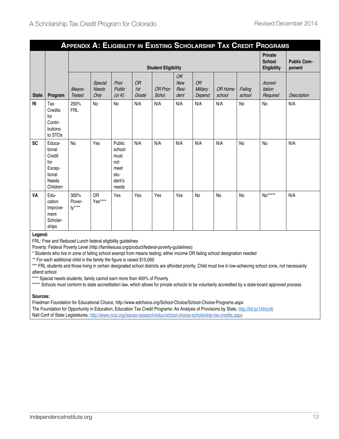<span id="page-13-0"></span>

|                | APPENDIX A: ELIGIBILITY IN EXISTING SCHOLARSHIP TAX CREDIT PROGRAMS        |                           |                                 |                                                                    |                           |                           |                            |                           |                   |                   |                                                       |                              |
|----------------|----------------------------------------------------------------------------|---------------------------|---------------------------------|--------------------------------------------------------------------|---------------------------|---------------------------|----------------------------|---------------------------|-------------------|-------------------|-------------------------------------------------------|------------------------------|
|                |                                                                            |                           | <b>Student Eligibility</b>      |                                                                    |                           |                           |                            |                           |                   |                   | <b>Private</b><br><b>School</b><br><b>Eligibility</b> | <b>Public Com-</b><br>ponent |
| <b>State</b>   | Program                                                                    | Means-<br><b>Tested</b>   | Special<br><b>Needs</b><br>Only | Prior<br>Public<br>(or $K$ )                                       | <b>OR</b><br>1st<br>Grade | <b>OR Prior</b><br>Schol. | OR<br>New<br>Resi-<br>dent | OR<br>Military<br>Depend. | OR Home<br>school | Failing<br>school | Accred-<br>itation<br>Required                        | <b>Description</b>           |
| R <sub>l</sub> | Tax<br>Credits<br>for<br>Contri-<br>butions<br>to STOs                     | 250%<br><b>FRL</b>        | <b>No</b>                       | <b>No</b>                                                          | N/A                       | N/A                       | N/A                        | N/A                       | N/A               | <b>No</b>         | <b>No</b>                                             | N/A                          |
| <b>SC</b>      | Educa-<br>tional<br>Credit<br>for<br>Excep-<br>tional<br>Needs<br>Children | No                        | Yes                             | Public<br>school<br>must<br>not<br>meet<br>stu-<br>dent's<br>needs | N/A                       | N/A                       | N/A                        | N/A                       | N/A               | <b>No</b>         | No                                                    | N/A                          |
| VA             | Edu-<br>cation<br>Improve-<br>ment<br>Scholar-<br>ships                    | 300%<br>Pover-<br>$tv***$ | <b>OR</b><br>Yes****            | Yes                                                                | Yes                       | Yes                       | Yes                        | <b>No</b>                 | No                | <b>No</b>         | No*****                                               | N/A                          |

#### **Legend:**

FRL: Free and Reduced Lunch federal eligibility guidelines

Poverty: Federal Poverty Level (http://familiesusa.org/product/federal-poverty-guidelines)

\* Students who live in zone of failing school exempt from means testing; either income OR failing school designation needed

\*\* For each additional child in the family the figure is raised \$15,000

\*\*\* FRL students and those living in certain designated school districts are afforded priority; Child must live in low-achieving school zone, not necessarily attend school

\*\*\*\* Special needs students, family cannot earn more than 400% of Poverty

\*\*\*\*\* Schools must conform to state accreditation law, which allows for private schools to be voluntarily accredited by a state-board approved process

#### **Sources:**

Friedman Foundation for Educational Choice, http://www.edchoice.org/School-Choice/School-Choice-Programs.aspx

The Foundation for Opportunity in Education, Education Tax Credit Programs: An Analysis of Provisions by State, <http://bit.ly/1AhccAl> Natl Conf of State Legislatures,<http://www.ncsl.org/issues-research/educ/school-choice-scholarship-tax-credits.aspx>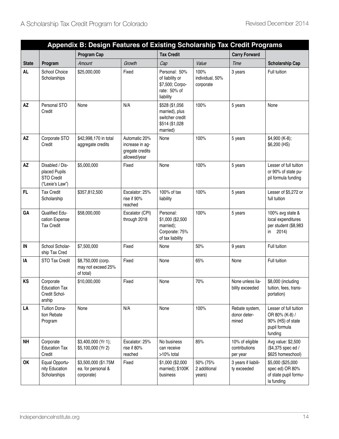| Appendix B: Design Features of Existing Scholarship Tax Credit Programs |                                                                   |                                                          |                                                                     |                                                                                   |                                      |                                              |                                                                                           |  |  |
|-------------------------------------------------------------------------|-------------------------------------------------------------------|----------------------------------------------------------|---------------------------------------------------------------------|-----------------------------------------------------------------------------------|--------------------------------------|----------------------------------------------|-------------------------------------------------------------------------------------------|--|--|
|                                                                         |                                                                   | <b>Program Cap</b>                                       |                                                                     | <b>Tax Credit</b>                                                                 |                                      | <b>Carry Forward</b>                         |                                                                                           |  |  |
| <b>State</b>                                                            | Program                                                           | Amount                                                   | Growth                                                              | Cap                                                                               | Value                                | Time                                         | <b>Scholarship Cap</b>                                                                    |  |  |
| <b>AL</b>                                                               | School Choice<br>Scholarships                                     | \$25,000,000                                             | Fixed                                                               | Personal: 50%<br>of liability or<br>\$7,500; Corpo-<br>rate: 50% of<br>liability  | 100%<br>individual, 50%<br>corporate | 3 years                                      | Full tuition                                                                              |  |  |
| <b>AZ</b>                                                               | Personal STO<br>Credit                                            | None                                                     | N/A                                                                 | \$528 (\$1,056<br>married), plus<br>switcher credit<br>\$514 (\$1,028<br>married) | 100%                                 | 5 years                                      | None                                                                                      |  |  |
| <b>AZ</b>                                                               | Corporate STO<br>Credit                                           | \$42,998,170 in total<br>aggregate credits               | Automatic 20%<br>increase in ag-<br>gregate credits<br>allowed/year | None                                                                              | 100%                                 | 5 years                                      | \$4,900 (K-8);<br>\$6,200 (HS)                                                            |  |  |
| AZ                                                                      | Disabled / Dis-<br>placed Pupils<br>STO Credit<br>("Lexie's Law") | \$5,000,000                                              | Fixed                                                               | None                                                                              | 100%                                 | 5 years                                      | Lesser of full tuition<br>or 90% of state pu-<br>pil formula funding                      |  |  |
| FL.                                                                     | <b>Tax Credit</b><br>Scholarship                                  | \$357,812,500                                            | Escalator: 25%<br>rise if 90%<br>reached                            | 100% of tax<br>liability                                                          | 100%                                 | 5 years                                      | Lesser of \$5,272 or<br>full tuition                                                      |  |  |
| GA                                                                      | Qualified Edu-<br>cation Expense<br><b>Tax Credit</b>             | \$58,000,000                                             | Escalator (CPI)<br>through 2018                                     | Personal:<br>\$1,000 (\$2,500<br>married);<br>Corporate: 75%<br>of tax liability  | 100%                                 | 5 years                                      | 100% avg state &<br>local expenditures<br>per student (\$8,983<br>2014)<br>in             |  |  |
| IN                                                                      | School Scholar-<br>ship Tax Cred                                  | \$7,500,000                                              | Fixed                                                               | None                                                                              | 50%                                  | 9 years                                      | Full tuition                                                                              |  |  |
| IA                                                                      | STO Tax Credit                                                    | \$8,750,000 (corp.<br>may not exceed 25%<br>of total)    | Fixed                                                               | None                                                                              | 65%                                  | None                                         | Full tuition                                                                              |  |  |
| KS                                                                      | Corporate<br><b>Education Tax</b><br>Credit Schol-<br>arship      | \$10,000,000                                             | Fixed                                                               | None                                                                              | 70%                                  | None unless lia-<br>bility exceeded          | \$8,000 (including<br>tuition, fees, trans-<br>portation)                                 |  |  |
| LA                                                                      | Tuition Dona-<br>tion Rebate<br>Program                           | None                                                     | N/A                                                                 | None                                                                              | 100%                                 | Rebate system,<br>donor deter-<br>mined      | Lesser of full tuition<br>OR 80% (K-8) /<br>90% (HS) of state<br>pupil formula<br>funding |  |  |
| NH                                                                      | Corporate<br><b>Education Tax</b><br>Credit                       | \$3,400,000 (Yr 1);<br>\$5,100,000 (Yr 2)                | Escalator: 25%<br>rise if 80%<br>reached                            | No business<br>can receive<br>>10% total                                          | 85%                                  | 10% of eligible<br>contributions<br>per year | Avg value: \$2,500<br>(\$4,375 spec ed /<br>\$625 homeschool)                             |  |  |
| OK                                                                      | Equal Opportu-<br>nity Education<br>Scholarships                  | \$3,500,000 (\$1.75M<br>ea. for personal &<br>corporate) | Fixed                                                               | \$1,000 (\$2,000<br>married); \$100K<br>business                                  | 50% (75%<br>2 additional<br>years)   | 3 years if liabili-<br>ty exceeded           | \$5,000 (\$25,000<br>spec ed) OR 80%<br>of state pupil formu-<br>la funding               |  |  |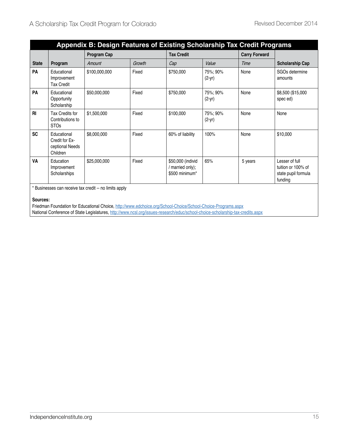<span id="page-15-0"></span>

| Appendix B: Design Features of Existing Scholarship Tax Credit Programs |                                                              |               |        |                                                         |                      |                      |                                                                        |  |  |  |
|-------------------------------------------------------------------------|--------------------------------------------------------------|---------------|--------|---------------------------------------------------------|----------------------|----------------------|------------------------------------------------------------------------|--|--|--|
|                                                                         |                                                              | Program Cap   |        | <b>Tax Credit</b>                                       |                      | <b>Carry Forward</b> |                                                                        |  |  |  |
| <b>State</b>                                                            | Program                                                      | Amount        | Growth | Cap                                                     | Value                | Time                 | <b>Scholarship Cap</b>                                                 |  |  |  |
| PA                                                                      | Educational<br>Improvement<br><b>Tax Credit</b>              | \$100,000,000 | Fixed  | \$750,000                                               | 75%; 90%<br>$(2-yr)$ | None                 | SGOs determine<br>amounts                                              |  |  |  |
| PA                                                                      | Educational<br>Opportunity<br>Scholarship                    | \$50,000,000  | Fixed  | \$750,000                                               | 75%; 90%<br>$(2-yr)$ | None                 | \$8,500 (\$15,000<br>spec ed)                                          |  |  |  |
| <b>RI</b>                                                               | Tax Credits for<br>Contributions to<br><b>STOs</b>           | \$1,500,000   | Fixed  | \$100,000                                               | 75%; 90%<br>$(2-yr)$ | None                 | None                                                                   |  |  |  |
| <b>SC</b>                                                               | Educational<br>Credit for Ex-<br>ceptional Needs<br>Children | \$8,000,000   | Fixed  | 60% of liability                                        | 100%                 | None                 | \$10,000                                                               |  |  |  |
| VA                                                                      | Education<br>Improvement<br>Scholarships                     | \$25,000,000  | Fixed  | \$50,000 (individ<br>/ married only);<br>\$500 minimum* | 65%                  | 5 years              | Lesser of full<br>tuition or 100% of<br>state pupil formula<br>funding |  |  |  |

\* Businesses can receive tax credit -- no limits apply

**Sources:** 

Friedman Foundation for Educational Choice, <http://www.edchoice.org/School-Choice/School-Choice-Programs.aspx> National Conference of State Legislatures, <http://www.ncsl.org/issues-research/educ/school-choice-scholarship-tax-credits.aspx>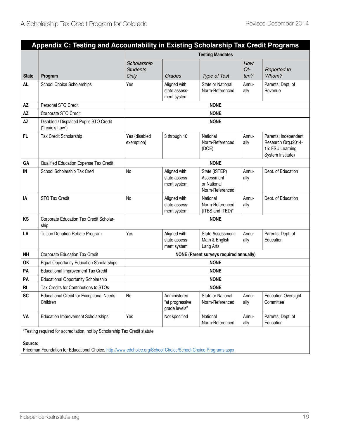<span id="page-16-0"></span>

| Appendix C: Testing and Accountability in Existing Scholarship Tax Credit Programs |                                                                            |                                        |                                                  |                                                               |                    |                                                                                      |  |  |  |
|------------------------------------------------------------------------------------|----------------------------------------------------------------------------|----------------------------------------|--------------------------------------------------|---------------------------------------------------------------|--------------------|--------------------------------------------------------------------------------------|--|--|--|
|                                                                                    | <b>Testing Mandates</b>                                                    |                                        |                                                  |                                                               |                    |                                                                                      |  |  |  |
| <b>State</b>                                                                       | Program                                                                    | Scholarship<br><b>Students</b><br>Only | Grades                                           | Type of Test                                                  | How<br>Of-<br>ten? | Reported to<br>Whom?                                                                 |  |  |  |
| <b>AL</b>                                                                          | School Choice Scholarships                                                 | Yes                                    | Aligned with<br>state assess-<br>ment system     | State or National<br>Norm-Referenced                          | Annu-<br>ally      | Parents; Dept. of<br>Revenue                                                         |  |  |  |
| AZ                                                                                 | Personal STO Credit                                                        |                                        |                                                  | <b>NONE</b>                                                   |                    |                                                                                      |  |  |  |
| <b>AZ</b>                                                                          | Corporate STO Credit                                                       |                                        |                                                  | <b>NONE</b>                                                   |                    |                                                                                      |  |  |  |
| <b>AZ</b>                                                                          | Disabled / Displaced Pupils STO Credit<br>("Lexie's Law")                  |                                        |                                                  | <b>NONE</b>                                                   |                    |                                                                                      |  |  |  |
| FL.                                                                                | Tax Credit Scholarship                                                     | Yes (disabled<br>exemption)            | 3 through 10                                     | National<br>Norm-Referenced<br>(DOE)                          | Annu-<br>ally      | Parents; Independent<br>Research Org.(2014-<br>15: FSU Learning<br>System Institute) |  |  |  |
| GA                                                                                 | Qualified Education Expense Tax Credit                                     |                                        |                                                  | <b>NONE</b>                                                   |                    |                                                                                      |  |  |  |
| IN                                                                                 | School Scholarship Tax Cred                                                | No                                     | Aligned with<br>state assess-<br>ment system     | State (ISTEP)<br>Assessment<br>or National<br>Norm-Referenced | Annu-<br>ally      | Dept. of Education                                                                   |  |  |  |
| IA                                                                                 | STO Tax Credit                                                             | No                                     | Aligned with<br>state assess-<br>ment system     | National<br>Norm-Referenced<br>(ITBS and ITED)*               | Annu-<br>ally      | Dept. of Education                                                                   |  |  |  |
| KS                                                                                 | Corporate Education Tax Credit Scholar-<br>ship                            |                                        |                                                  | <b>NONE</b>                                                   |                    |                                                                                      |  |  |  |
| LA                                                                                 | Tuition Donation Rebate Program                                            | Yes                                    | Aligned with<br>state assess-<br>ment system     | State Assessment:<br>Math & English<br>Lang Arts              | Annu-<br>ally      | Parents; Dept. of<br>Education                                                       |  |  |  |
| <b>NH</b>                                                                          | <b>Corporate Education Tax Credit</b>                                      |                                        |                                                  | <b>NONE</b> (Parent surveys required annually)                |                    |                                                                                      |  |  |  |
| OK                                                                                 | <b>Equal Opportunity Education Scholarships</b>                            |                                        |                                                  | <b>NONE</b>                                                   |                    |                                                                                      |  |  |  |
| PA                                                                                 | <b>Educational Improvement Tax Credit</b>                                  |                                        |                                                  | <b>NONE</b>                                                   |                    |                                                                                      |  |  |  |
| PA                                                                                 | <b>Educational Opportunity Scholarship</b>                                 |                                        |                                                  | <b>NONE</b>                                                   |                    |                                                                                      |  |  |  |
| R <sub>l</sub>                                                                     | Tax Credits for Contributions to STOs                                      |                                        |                                                  | <b>NONE</b>                                                   |                    |                                                                                      |  |  |  |
| <b>SC</b>                                                                          | <b>Educational Credit for Exceptional Needs</b><br>Children                | No                                     | Administered<br>"at progressive<br>grade levels" | State or National<br>Norm-Referenced                          | Annu-<br>ally      | <b>Education Oversight</b><br>Committee                                              |  |  |  |
| VA                                                                                 | <b>Education Improvement Scholarships</b>                                  | Yes                                    | Not specified                                    | National<br>Norm-Referenced                                   | Annu-<br>ally      | Parents; Dept. of<br>Education                                                       |  |  |  |
| Source:                                                                            | *Testing required for accreditation, not by Scholarship Tax Credit statute |                                        |                                                  |                                                               |                    |                                                                                      |  |  |  |

Friedman Foundation for Educational Choice,<http://www.edchoice.org/School-Choice/School-Choice-Programs.aspx>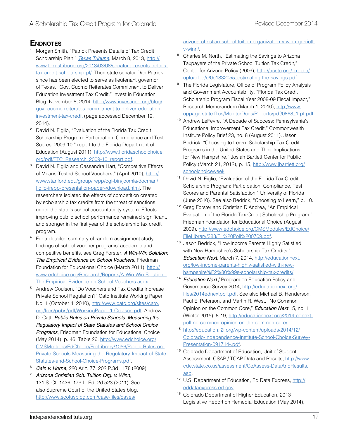## **ENDNOTES**

- <sup>1</sup> Morgan Smith, "Patrick Presents Details of Tax Credit Scholarship Plan," **Texas Tribune**, March 8, 2013, [http://](http://www.texastribune.org/2013/03/08/senator-presents-details-tax-credit-scholarship-pl/) [www.texastribune.org/2013/03/08/senator-presents-details](http://www.texastribune.org/2013/03/08/senator-presents-details-tax-credit-scholarship-pl/)[tax-credit-scholarship-pl/.](http://www.texastribune.org/2013/03/08/senator-presents-details-tax-credit-scholarship-pl/) Then-state senator Dan Patrick since has been elected to serve as lieutenant governor of Texas. "Gov. Cuomo Reiterates Commitment to Deliver Education Investment Tax Credit," Invest in Education Blog, November 6, 2014, [http://www.investined.org/blog/](http://www.investined.org/blog/gov.-cuomo-reiterates-commitment-to-deliver-education-investment-tax-credit) [gov.-cuomo-reiterates-commitment-to-deliver-education](http://www.investined.org/blog/gov.-cuomo-reiterates-commitment-to-deliver-education-investment-tax-credit)[investment-tax-credit](http://www.investined.org/blog/gov.-cuomo-reiterates-commitment-to-deliver-education-investment-tax-credit) (page accessed December 19, 2014).
- <sup>2</sup> David N. Figlio, "Evaluation of the Florida Tax Credit Scholarship Program: Participation, Compliance and Test Scores, 2009-10," report to the Florida Department of Education (August 2011), [http://www.floridaschoolchoice.](http://www.floridaschoolchoice.org/pdf/FTC_Research_2009-10_report.pdf) [org/pdf/FTC\\_Research\\_2009-10\\_report.pdf.](http://www.floridaschoolchoice.org/pdf/FTC_Research_2009-10_report.pdf)
- David N. Figlio and Cassandra Hart, "Competitive Effects of Means-Tested School Vouchers," (April 2010), [http://](http://www.stanford.edu/group/irepp/cgi-bin/joomla/docman/figlio-irepp-presentation-paper-/download.html) [www.stanford.edu/group/irepp/cgi-bin/joomla/docman/](http://www.stanford.edu/group/irepp/cgi-bin/joomla/docman/figlio-irepp-presentation-paper-/download.html) [figlio-irepp-presentation-paper-/download.html](http://www.stanford.edu/group/irepp/cgi-bin/joomla/docman/figlio-irepp-presentation-paper-/download.html). The researchers isolated the effects of competition created by scholarship tax credits from the threat of sanctions under the state's school accountability system. Effects improving public school performance remained significant, and stronger in the first year of the scholarship tax credit program.
- <sup>4</sup> For a detailed summary of random-assignment study findings of school voucher programs' academic and competitive benefits, see Greg Forster, *A Win-Win Solution: The Empirical Evidence on School Vouchers*, Friedman Foundation for Educational Choice (March 2011), [http://](http://www.edchoice.org/Research/Reports/A-Win-Win-Solution--The-Empirical-Evidence-on-School-Vouchers.aspx) [www.edchoice.org/Research/Reports/A-Win-Win-Solution--](http://www.edchoice.org/Research/Reports/A-Win-Win-Solution--The-Empirical-Evidence-on-School-Vouchers.aspx) [The-Empirical-Evidence-on-School-Vouchers.aspx.](http://www.edchoice.org/Research/Reports/A-Win-Win-Solution--The-Empirical-Evidence-on-School-Vouchers.aspx)
- <sup>5</sup> Andrew Coulson, "Do Vouchers and Tax Credits Increase Private School Regulation?" Cato Institute Working Paper No. 1 (October 4, 2010), [http://www.cato.org/sites/cato.](http://www.cato.org/sites/cato.org/files/pubs/pdf/WorkingPaper-1-Coulson.pdf) [org/files/pubs/pdf/WorkingPaper-1-Coulson.pdf](http://www.cato.org/sites/cato.org/files/pubs/pdf/WorkingPaper-1-Coulson.pdf); Andrew D. Catt, *Public Rules on Private Schools: Measuring the Regulatory Impact of State Statutes and School Choice Programs*, Friedman Foundation for Educational Choice (May 2014), p. 46, Table 26, [http://www.edchoice.org/](http://www.edchoice.org/CMSModules/EdChoice/FileLibrary/1056/Public-Rules-on-Private-Schools-Measuring-the-Regulatory-Impact-of-State-Statutes-and-School-Choice-Programs.pdf) [CMSModules/EdChoice/FileLibrary/1056/Public-Rules-on-](http://www.edchoice.org/CMSModules/EdChoice/FileLibrary/1056/Public-Rules-on-Private-Schools-Measuring-the-Regulatory-Impact-of-State-Statutes-and-School-Choice-Programs.pdf)[Private-Schools-Measuring-the-Regulatory-Impact-of-State-](http://www.edchoice.org/CMSModules/EdChoice/FileLibrary/1056/Public-Rules-on-Private-Schools-Measuring-the-Regulatory-Impact-of-State-Statutes-and-School-Choice-Programs.pdf)[Statutes-and-School-Choice-Programs.pdf](http://www.edchoice.org/CMSModules/EdChoice/FileLibrary/1056/Public-Rules-on-Private-Schools-Measuring-the-Regulatory-Impact-of-State-Statutes-and-School-Choice-Programs.pdf).
- <sup>6</sup> *Cain v. Horne*, 220 Ariz. 77, 202 P.3d 1178 (2009).
- <sup>7</sup> *Arizona Christian Sch. Tuition Org. v. Winn*, 131 S. Ct. 1436, 179 L. Ed. 2d 523 (2011). See also Supreme Court of the United States blog, [http://www.scotusblog.com/case-files/cases/](http://www.scotusblog.com/case-files/cases/arizona-christian-school-tuition-organization-v-winn-garriott-v-winn/)

[arizona-christian-school-tuition-organization-v-winn-garriott](http://www.scotusblog.com/case-files/cases/arizona-christian-school-tuition-organization-v-winn-garriott-v-winn/)[v-winn/.](http://www.scotusblog.com/case-files/cases/arizona-christian-school-tuition-organization-v-winn-garriott-v-winn/)

- <sup>8</sup> Charles M. North, "Estimating the Savings to Arizona Taxpayers of the Private School Tuition Tax Credit," Center for Arizona Policy (2009), [http://acsto.org/\\_media/](http://acsto.org/_media/uploaded/e/0e1832055_estimating-the-savings.pdf) [uploaded/e/0e1832055\\_estimating-the-savings.pdf](http://acsto.org/_media/uploaded/e/0e1832055_estimating-the-savings.pdf).
- <sup>9</sup> The Florida Legislature, Office of Program Policy Analysis and Government Accountability, "Florida Tax Credit Scholarship Program Fiscal Year 2008-09 Fiscal Impact," Research Memorandum (March 1, 2010), [http://www.](http://www.oppaga.state.fl.us/MonitorDocs/Reports/pdf/0868_1rpt.pdf) [oppaga.state.fl.us/MonitorDocs/Reports/pdf/0868\\_1rpt.pdf](http://www.oppaga.state.fl.us/MonitorDocs/Reports/pdf/0868_1rpt.pdf).
- <sup>10</sup> Andrew LeFevre, "A Decade of Success: Pennsylvania's Educational Improvement Tax Credit," Commonwealth Institute Policy Brief 23, no. 8 (August 2011). Jason Bedrick, "Choosing to Learn: Scholarship Tax Credit Programs in the United States and Their Implications for New Hampshire," Josiah Bartlett Center for Public Policy (March 21, 2012), p. 15, [http://www.jbartlett.org/](http://www.jbartlett.org/schoolchoiceweek) [schoolchoiceweek.](http://www.jbartlett.org/schoolchoiceweek)
- <sup>11</sup> David N. Figlio, "Evaluation of the Florida Tax Credit Scholarship Program: Participation, Compliance, Test Scores and Parental Satisfaction," University of Florida (June 2010). See also Bedrick, "Choosing to Learn," p. 10.
- <sup>12</sup> Greg Forster and Christian D'Andrea, "An Empirical Evaluation of the Florida Tax Credit Scholarship Program," Friedman Foundation for Educational Choice (August 2009), [http://www.edchoice.org/CMSModules/EdChoice/](http://www.edchoice.org/CMSModules/EdChoice/FileLibrary/383/FL%20Poll%200709.pdf) [FileLibrary/383/FL%20Poll%200709.pdf.](http://www.edchoice.org/CMSModules/EdChoice/FileLibrary/383/FL%20Poll%200709.pdf)
- <sup>13</sup> Jason Bedrick, "Low-Income Parents Highly Satisfied with New Hampshire's Scholarship Tax Credits," *Education Next*, March 7, 2014, [http://educationnext.](http://educationnext.org/low-income-parents-highly-satisfied-with-new-hampshire%E2%80%99s-scholarship-tax-credits/) [org/low-income-parents-highly-satisfied-with-new](http://educationnext.org/low-income-parents-highly-satisfied-with-new-hampshire%E2%80%99s-scholarship-tax-credits/)[hampshire%E2%80%99s-scholarship-tax-credits/](http://educationnext.org/low-income-parents-highly-satisfied-with-new-hampshire%E2%80%99s-scholarship-tax-credits/).
- <sup>14</sup> *Education Next* / Program on Education Policy and Governance Survey 2014, [http://educationnext.org/](http://educationnext.org/files/2014ednextpoll.pdf) [files/2014ednextpoll.pdf](http://educationnext.org/files/2014ednextpoll.pdf). See also Michael B. Henderson, Paul E. Peterson, and Martin R. West, "No Common Opinion on the Common Core," *Education Next* 15, no. 1 (Winter 2015): 8-19, [http://educationnext.org/2014-ednext](http://educationnext.org/2014-ednext-poll-no-common-opinion-on-the-common-core/)[poll-no-common-opinion-on-the-common-core/](http://educationnext.org/2014-ednext-poll-no-common-opinion-on-the-common-core/).
- <sup>15</sup> [http://education.i2i.org/wp-content/uploads/2014/12/](http://education.i2i.org/wp-content/uploads/2014/12/Colorado-Independence-Institute-School-Choice-Survey-Presentation-091714-.pdf) [Colorado-Independence-Institute-School-Choice-Survey-](http://education.i2i.org/wp-content/uploads/2014/12/Colorado-Independence-Institute-School-Choice-Survey-Presentation-091714-.pdf)[Presentation-091714-.pdf](http://education.i2i.org/wp-content/uploads/2014/12/Colorado-Independence-Institute-School-Choice-Survey-Presentation-091714-.pdf).
- <sup>16</sup> Colorado Department of Education, Unit of Student Assessment, CSAP / TCAP Data and Results, [http://www.](http://www.cde.state.co.us/assessment/CoAssess-DataAndResults.asp) [cde.state.co.us/assessment/CoAssess-DataAndResults.](http://www.cde.state.co.us/assessment/CoAssess-DataAndResults.asp) [asp](http://www.cde.state.co.us/assessment/CoAssess-DataAndResults.asp).
- <sup>17</sup> U.S. Department of Education, Ed Data Express, [http://](http://eddataexpress.ed.gov) [eddataexpress.ed.gov](http://eddataexpress.ed.gov).
- <sup>18</sup> Colorado Department of Higher Education, 2013 Legislative Report on Remedial Education (May 2014),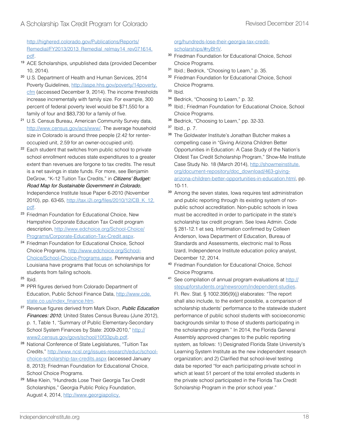[http://highered.colorado.gov/Publications/Reports/](http://highered.colorado.gov/Publications/Reports/Remedial/FY2013/2013_Remedial_relmay14_rev071614.pdf) Remedial/FY2013/2013 Remedial\_relmay14\_rev071614. [pdf.](http://highered.colorado.gov/Publications/Reports/Remedial/FY2013/2013_Remedial_relmay14_rev071614.pdf)

- <sup>19</sup> ACE Scholarships, unpublished data (provided December 10, 2014).
- <sup>20</sup> U.S. Department of Health and Human Services, 2014 Poverty Guidelines, [http://aspe.hhs.gov/poverty/14poverty.](http://aspe.hhs.gov/poverty/14poverty.cfm) [cfm](http://aspe.hhs.gov/poverty/14poverty.cfm) (accessed December 9, 2014). The income thresholds increase incrementally with family size. For example, 300 percent of federal poverty level would be \$71,550 for a family of four and \$83,730 for a family of five.
- <sup>21</sup> U.S. Census Bureau, American Community Survey data, <http://www.census.gov/acs/www/>. The average household size in Colorado is around three people (2.42 for renteroccupied unit, 2.59 for an owner-occupied unit).
- <sup>22</sup> Each student that switches from public school to private school enrollment reduces state expenditures to a greater extent than revenues are forgone to tax credits. The result is a net savings in state funds. For more, see Benjamin DeGrow, "K-12 Tuition Tax Credits," in Citizens' Budget: *Road Map for Sustainable Government in Colorado*, Independence Institute Issue Paper 6-2010 (November 2010), pp. 63-65, [http://tax.i2i.org/files/2010/12/CB\\_K\\_12.](http://tax.i2i.org/files/2010/12/CB_K_12.pdf) [pdf.](http://tax.i2i.org/files/2010/12/CB_K_12.pdf)
- <sup>23</sup> Friedman Foundation for Educational Choice, New Hampshire Corporate Education Tax Credit program description, [http://www.edchoice.org/School-Choice/](http://www.edchoice.org/School-Choice/Programs/Corporate-Education-Tax-Credit.aspx) [Programs/Corporate-Education-Tax-Credit.aspx.](http://www.edchoice.org/School-Choice/Programs/Corporate-Education-Tax-Credit.aspx)
- <sup>24</sup> Friedman Foundation for Educational Choice, School Choice Programs, [http://www.edchoice.org/School-](http://www.edchoice.org/School-Choice/School-Choice-Programs.aspx)[Choice/School-Choice-Programs.aspx](http://www.edchoice.org/School-Choice/School-Choice-Programs.aspx). Pennsylvania and Louisiana have programs that focus on scholarships for students from failing schools.
- <sup>25</sup> Ibid.
- <sup>26</sup> PPR figures derived from Colorado Department of Education, Public School Finance Data, [http://www.cde.](http://www.cde.state.co.us/index_finance.htm) [state.co.us/index\\_finance.htm](http://www.cde.state.co.us/index_finance.htm).
- <sup>27</sup> Revenue figures derived from Mark Dixon, *Public Education Finances: 2010*, United States Census Bureau (June 2012), p. 1, Table 1, "Summary of Public Elementary-Secondary School System Finances by State: 2009-2010," [http://](http://www2.census.gov/govs/school/10f33pub.pdf) [www2.census.gov/govs/school/10f33pub.pdf](http://www2.census.gov/govs/school/10f33pub.pdf).
- <sup>28</sup> National Conference of State Legislatures, "Tuition Tax Credits," [http://www.ncsl.org/issues-research/educ/school](http://www.ncsl.org/issues-research/educ/school-choice-scholarship-tax-credits.aspx)[choice-scholarship-tax-credits.aspx](http://www.ncsl.org/issues-research/educ/school-choice-scholarship-tax-credits.aspx) (accessed January 8, 2013); Friedman Foundation for Educational Choice, School Choice Programs.
- <sup>29</sup> Mike Klein, "Hundreds Lose Their Georgia Tax Credit Scholarships," Georgia Public Policy Foundation, August 4, 2014, [http://www.georgiapolicy.](http://www.georgiapolicy.org/hundreds-lose-their-georgia-tax-credit-scholarships/#ryBHV)

[org/hundreds-lose-their-georgia-tax-credit](http://www.georgiapolicy.org/hundreds-lose-their-georgia-tax-credit-scholarships/#ryBHV)[scholarships/#ryBHV.](http://www.georgiapolicy.org/hundreds-lose-their-georgia-tax-credit-scholarships/#ryBHV)

- <sup>30</sup> Friedman Foundation for Educational Choice, School Choice Programs.
- <sup>31</sup> Ibid.; Bedrick, "Choosing to Learn," p. 35.
- <sup>32</sup> Friedman Foundation for Educational Choice, School Choice Programs.
- $33$  Ibid.
- <sup>34</sup> Bedrick, "Choosing to Learn," p. 32.
- <sup>35</sup> Ibid.; Friedman Foundation for Educational Choice, School Choice Programs.
- <sup>36</sup> Bedrick, "Choosing to Learn," pp. 32-33.
- <sup>37</sup> Ibid., p. 7.
- <sup>38</sup> The Goldwater Institute's Jonathan Butcher makes a compelling case in "Giving Arizona Children Better Opportunities in Education: A Case Study of the Nation's Oldest Tax Credit Scholarship Program," Show-Me Institute Case Study No. 18 (March 2014), [http://showmeinstitute.](http://showmeinstitute.org/document-repository/doc_download/463-giving-arizona-children-better-opportunities-in-education.html) [org/document-repository/doc\\_download/463-giving](http://showmeinstitute.org/document-repository/doc_download/463-giving-arizona-children-better-opportunities-in-education.html)[arizona-children-better-opportunities-in-education.html](http://showmeinstitute.org/document-repository/doc_download/463-giving-arizona-children-better-opportunities-in-education.html), pp. 10-11.
- <sup>39</sup> Among the seven states, Iowa requires test administration and public reporting through its existing system of nonpublic school accreditation. Non-public schools in Iowa must be accredited in order to participate in the state's scholarship tax credit program. See Iowa Admin. Code § 281-12.1 et seq. Information confirmed by Colleen Anderson, Iowa Department of Education, Bureau of Standards and Assessments, electronic mail to Ross Izard, Independence Institute education policy analyst, December 12, 2014.
- <sup>40</sup> Friedman Foundation for Educational Choice, School Choice Programs.
- 41 See compilation of annual program evaluations at [http://](http://stepupforstudents.org/newsroom/independent-studies) [stepupforstudents.org/newsroom/independent-studies](http://stepupforstudents.org/newsroom/independent-studies). Fl. Rev. Stat. § 1002.395(9)(j) elaborates: "The report shall also include, to the extent possible, a comparison of scholarship students' performance to the statewide student performance of public school students with socioeconomic backgrounds similar to those of students participating in the scholarship program." In 2014, the Florida General Assembly approved changes to the public reporting system, as follows: 1) Designated Florida State University's Learning System Institute as the new independent research organization; and 2) Clarified that school-level testing data be reported "for each participating private school in which at least 51 percent of the total enrolled students in the private school participated in the Florida Tax Credit Scholarship Program in the prior school year."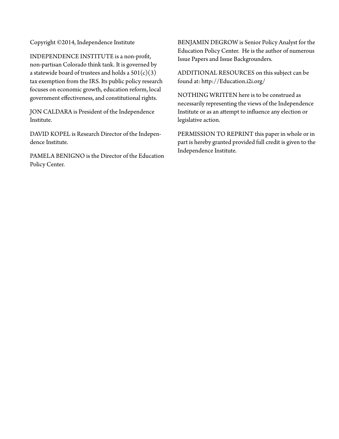Copyright ©2014, Independence Institute

INDEPENDENCE INSTITUTE is a non-profit, non-partisan Colorado think tank. It is governed by a statewide board of trustees and holds a  $501(c)(3)$ tax exemption from the IRS. Its public policy research focuses on economic growth, education reform, local government effectiveness, and constitutional rights.

JON CALDARA is President of the Independence Institute.

DAVID KOPEL is Research Director of the Independence Institute.

PAMELA BENIGNO is the Director of the Education Policy Center.

BENJAMIN DEGROW is Senior Policy Analyst for the Education Policy Center. He is the author of numerous Issue Papers and Issue Backgrounders.

ADDITIONAL RESOURCES on this subject can be found at: http://Education.i2i.org/

NOTHING WRITTEN here is to be construed as necessarily representing the views of the Independence Institute or as an attempt to influence any election or legislative action.

PERMISSION TO REPRINT this paper in whole or in part is hereby granted provided full credit is given to the Independence Institute.